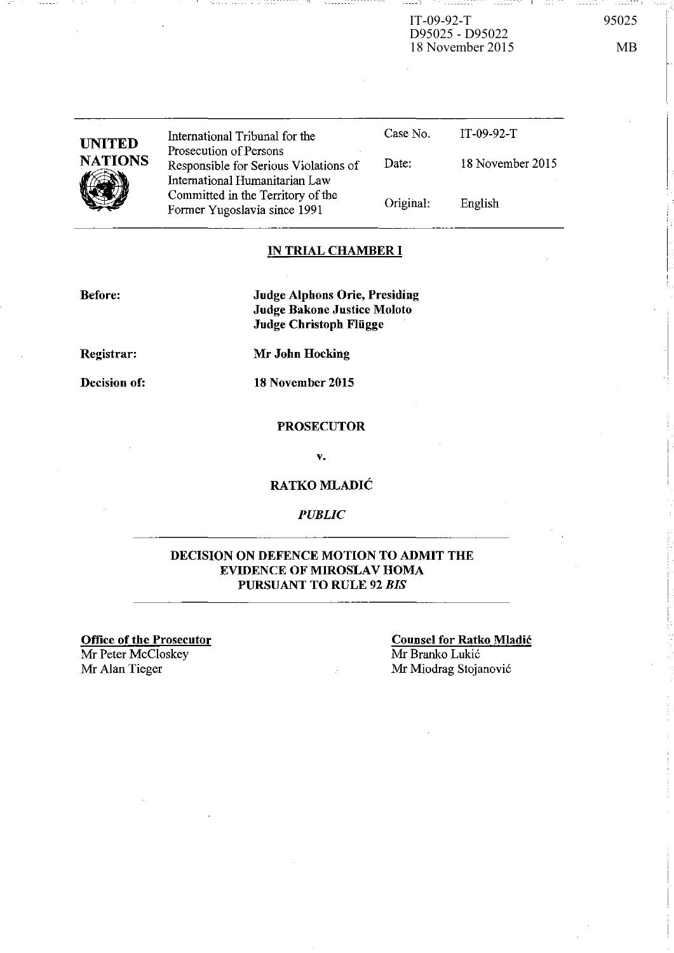IT-09-92-T 95025 D95025 - D95022 18 November 2015 MB

 $--- 1$ 

| <b>UNITED</b><br><b>NATIONS</b><br>.U | International Tribunal for the<br>Prosecution of Persons                | Case No.  | IT-09-92-T       |
|---------------------------------------|-------------------------------------------------------------------------|-----------|------------------|
|                                       | Responsible for Serious Violations of<br>International Humanitarian Law | Date:     | 18 November 2015 |
|                                       | Committed in the Territory of the<br>Former Yugoslavia since 1991       | Original: | English          |

## IN TRIAL CHAMBER **I**

Before:

Judge Alphons Orie, Presiding Judge Bakone Justice Moloto Judge Christoph Flügge

Registrar:

Decision of:

PROSECUTOR

Mr John Hocking

18 November 2015

v.

RATKO MLADIĆ

# *PUBLIC*

## DECISION ON DEFENCE MOTION TO ADMIT THE EVIDENCE OF MIROSLAV HOMA PURSUANT TO RULE 92 *BIS*

Office of the Prosecutor Mr Peter McCloskey<br>Mr Alan Tieger

Counsel for Ratko Mladic Mr Branko Lukić Mr Miodrag Stojanović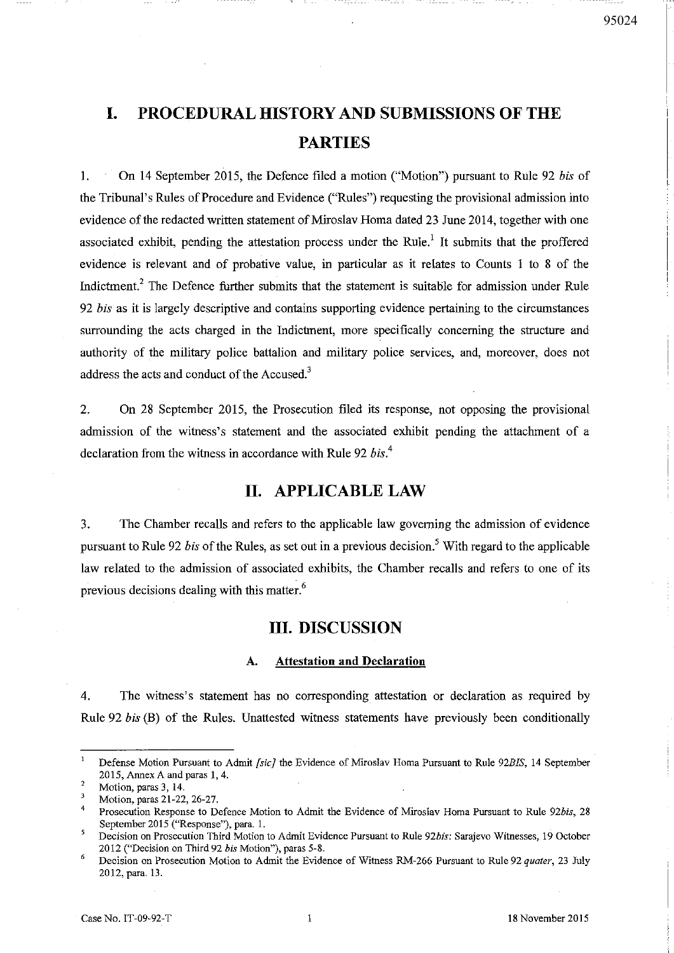# **I. PROCEDURAL HISTORY AND SUBMISSIONS OF THE PARTIES**

I. On 14 September 2015, the Defence filed a motion ("Motion") pursuant to Rule 92 *bis* of the Tribunal's Rules of Procedure and Evidence ("Rules") requesting the provisional admission into evidence of the redacted written statement of Miroslav Roma dated 23 June 2014, together with one associated exhibit, pending the attestation process under the Rule.<sup>1</sup> It submits that the proffered evidence is relevant and of probative value, in particular as it relates to Counts 1 to 8 of the Indictment.2 The Defence further submits that the statement is suitable for admission under Rule *92 bis* as it is largely descriptive and contains supporting evidence pertaining to the circumstances surrounding the acts charged in the Indictment, more specifically concerning the structure and authority of the military police battalion and military police services, and, moreover, does not address the acts and conduct of the Accused.<sup>3</sup>

2. On 28 September 2015, the Prosecution filed its response, not opposing the provisional admission of the witness's statement and the associated exhibit pending the attachment of a declaration from the witness in accordance with Rule 92 *bis.*<sup>4</sup>

# **II. APPLICABLE LAW**

3. The Chamber recalls and refers to the applicable law governing the admission of evidence pursuant to Rule 92 *bis* of the Rules, as set out in a previous decision.<sup>5</sup> With regard to the applicable law related to the admission of associated exhibits, the Chamber recalls and refers to one of its previous decisions dealing with this matter.<sup>6</sup>

## **III. DISCUSSION**

#### A. **Attestation** and **Declaration**

4. The witness's statement has no corresponding attestation or declaration as required by Rule 92 *bis* (B) of the Rules. Unattested witness statements have previously been conditionally

**Defense Motion Pursuant to Admit** *[sic]* **the Evidence of Miroslav Homa Pursuant to Rule** *92B1S,* **14 September**  2015, Annex A and paras 1,4.

 $\overline{2}$ **Motion, paras 3, 14.** 

 $\overline{\mathbf{3}}$ Motion, paras 21-22, 26-27.

<sup>4</sup>  Prosecution Response to Defence Motion to Admit the Evidence of Miroslav Homa Pursuant to Rule 92bis, 28 September 2015 ("Response"), para. 1.

**Decision on Prosecution Third Motion to Admit Evidence Pursuant to Rule** *92bis:* **Sarajevo Witnesses, 19 October**  2012 ("Decision on Third 92 *his* Motion"), paras 5-8.

<sup>6</sup> Decision on Prosecution Motion to Admit the Evidence of Witness RM-266 Pursuant to Rule 92 *quater*, 23 July 2012, para. 13.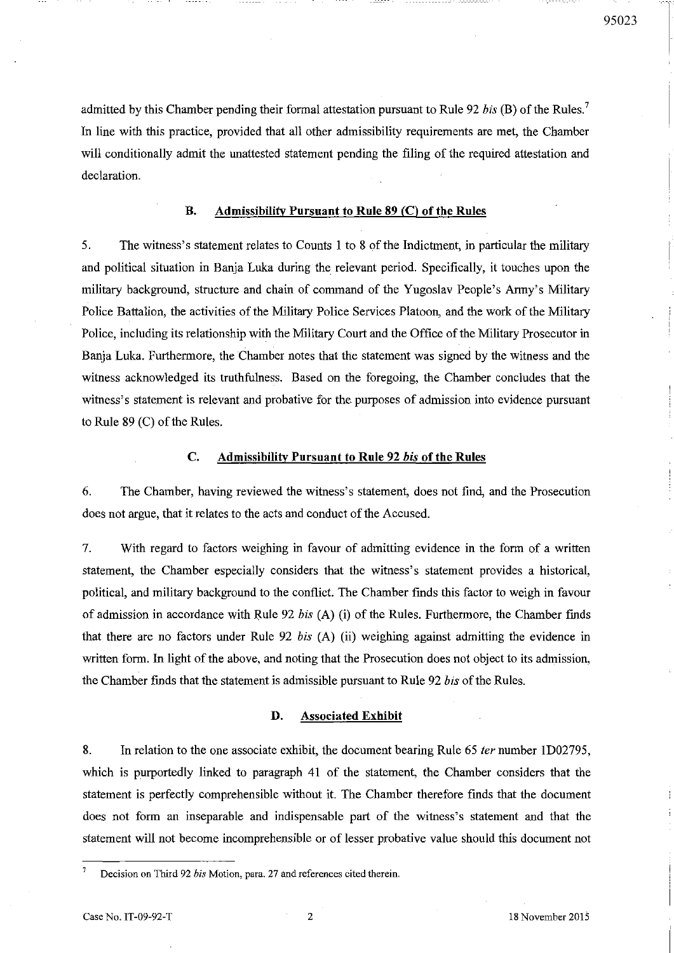admitted by this Chamber pending their formal attestation pursuant to Rule 92 *his* (B) of the Rules. <sup>7</sup> In line with this practice, provided that all other admissibility requirements are met, the Chamber will conditionally admit the unattested statement pending the filing of the required attestation and declaration.

#### B. Admissibility Pursuant to Rule 89 (C) of the Rules

5. The witness's statement relates to Counts I to 8 of the Indictment, in particular the military and political situation in Banja Luka during the relevant period. Specifically, it touches upon the military background, structure and chain of command of the Yugoslav People's Army's Military Police Battalion, the activities of the Military Police Services Platoon, and the work of the Military Police, including its relationship with the Military Court and the Office of the Military Prosecutor in Banja Luka. Furthermore, the Chamber notes that the statement was signed by the witness and the witness acknowledged its truthfulness. Based on the foregoing, the Chamber concludes that the witness's statement is relevant and probative for the purposes of admission into evidence pursuant to Rule 89 (C) of the Rules.

#### C. Admissibility Pursuant to Rule 92 *his* of the Rules

6. The Chamber, having reviewed the witness's statement, does not find, and the Prosecution does not argue, that it relates to the acts and conduct of the Accused.

7. With regard to factors weighing in favour of admitting evidence in the form of a written statement, the Chamber especially considers that the witness's statement provides a historical, political, and military background to the conflict. The Chamber fmds this factor to weigh in favour of admission in accordance with Rule 92 *his* (A) (i) of the Rules. Furthermore, the Chamber fmds that there are no factors under Rule 92 *his* (A) (ii) weighing against admitting the evidence in written form. In light of the above, and noting that the Prosecution does not object to its admission, the Chamber finds that the statement is admissible pursuant to Rule 92 *his* ofthe Rules.

#### D. Associated Exhibit

8. In relation to the one associate exhibit, the document bearing Rule 65 ter number 1D02795, which is purportedly linked to paragraph 41 of the statement, the Chamber considers that the statement is perfectly comprehensible without it. The Chamber therefore finds that the document does not form an inseparable and indispensable part of the witness's statement and that the statement will not become incomprehensible or of lesser probative value should this document not

Case No. IT-09-92-T 2 18 November 2015

Decision on Third 92 *his* Motion, para. 27 and references cited therein.